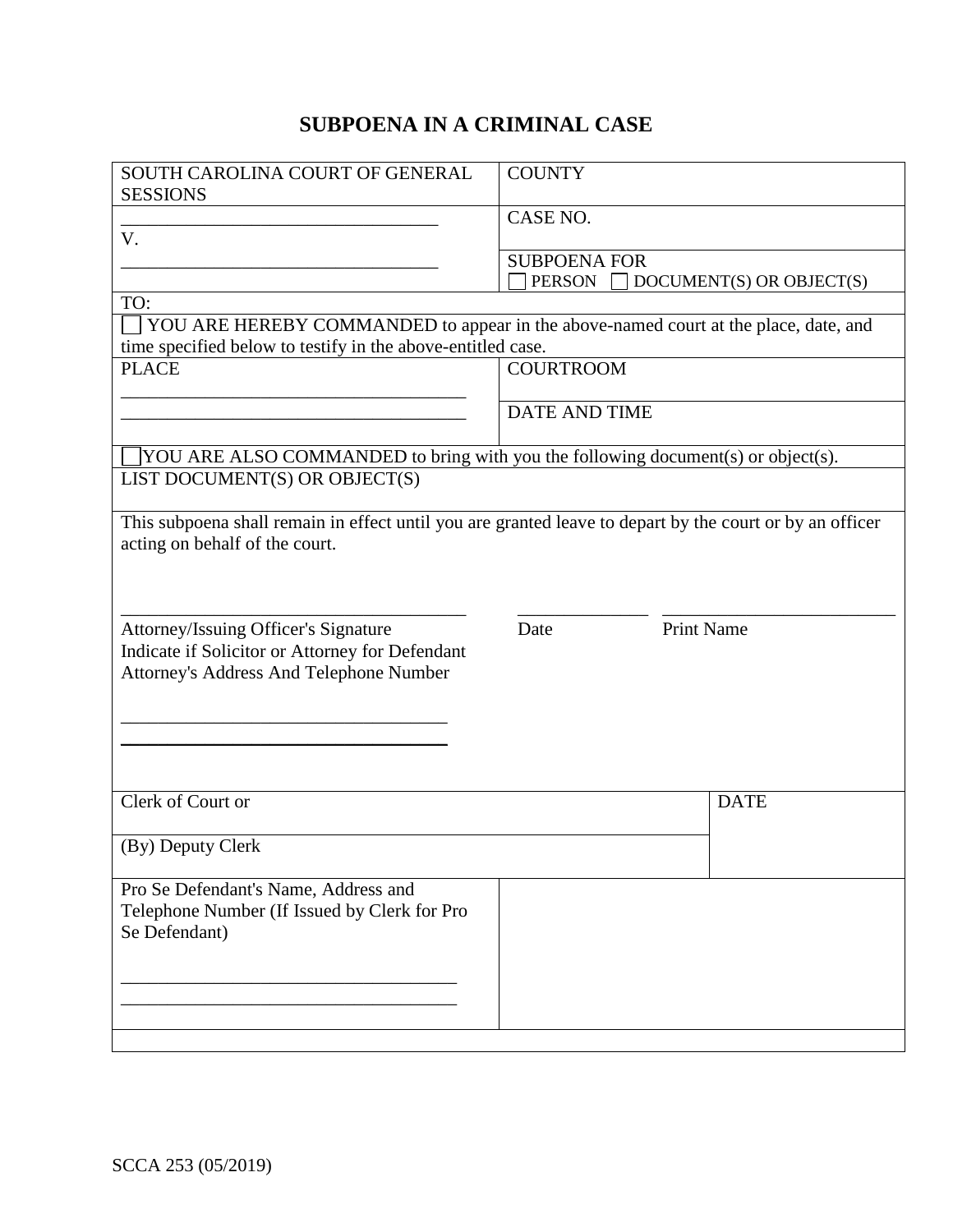## **SUBPOENA IN A CRIMINAL CASE**

| SOUTH CAROLINA COURT OF GENERAL                                                                          | <b>COUNTY</b>        |                          |  |
|----------------------------------------------------------------------------------------------------------|----------------------|--------------------------|--|
| <b>SESSIONS</b>                                                                                          |                      |                          |  |
|                                                                                                          | CASE NO.             |                          |  |
| V.                                                                                                       | <b>SUBPOENA FOR</b>  |                          |  |
|                                                                                                          | <b>PERSON</b>        | DOCUMENT(S) OR OBJECT(S) |  |
| TO:                                                                                                      |                      |                          |  |
| YOU ARE HEREBY COMMANDED to appear in the above-named court at the place, date, and                      |                      |                          |  |
| time specified below to testify in the above-entitled case.                                              |                      |                          |  |
| <b>PLACE</b>                                                                                             | <b>COURTROOM</b>     |                          |  |
|                                                                                                          |                      |                          |  |
|                                                                                                          | <b>DATE AND TIME</b> |                          |  |
|                                                                                                          |                      |                          |  |
| YOU ARE ALSO COMMANDED to bring with you the following document(s) or object(s).                         |                      |                          |  |
| LIST DOCUMENT(S) OR OBJECT(S)                                                                            |                      |                          |  |
|                                                                                                          |                      |                          |  |
| This subpoena shall remain in effect until you are granted leave to depart by the court or by an officer |                      |                          |  |
| acting on behalf of the court.                                                                           |                      |                          |  |
|                                                                                                          |                      |                          |  |
|                                                                                                          |                      |                          |  |
| Attorney/Issuing Officer's Signature                                                                     | Date                 | <b>Print Name</b>        |  |
| Indicate if Solicitor or Attorney for Defendant                                                          |                      |                          |  |
| Attorney's Address And Telephone Number                                                                  |                      |                          |  |
|                                                                                                          |                      |                          |  |
|                                                                                                          |                      |                          |  |
|                                                                                                          |                      |                          |  |
|                                                                                                          |                      |                          |  |
|                                                                                                          |                      |                          |  |
| Clerk of Court or                                                                                        |                      | <b>DATE</b>              |  |
|                                                                                                          |                      |                          |  |
| (By) Deputy Clerk                                                                                        |                      |                          |  |
|                                                                                                          |                      |                          |  |
| Pro Se Defendant's Name, Address and                                                                     |                      |                          |  |
| Telephone Number (If Issued by Clerk for Pro                                                             |                      |                          |  |
| Se Defendant)                                                                                            |                      |                          |  |
|                                                                                                          |                      |                          |  |
|                                                                                                          |                      |                          |  |
|                                                                                                          |                      |                          |  |
|                                                                                                          |                      |                          |  |